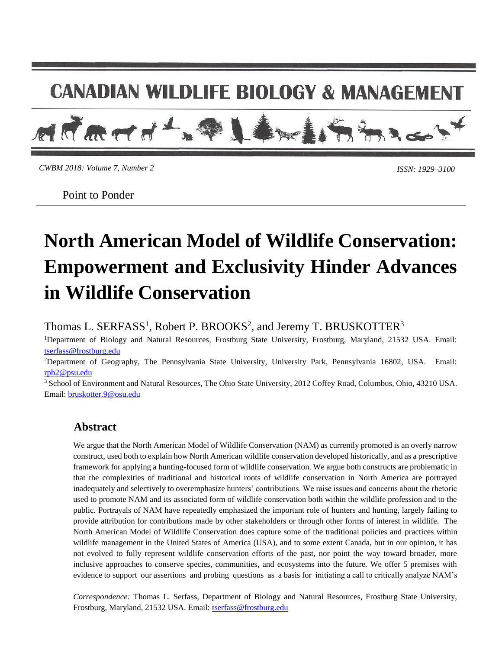# **CANADIAN WILDLIFE BIOLOGY & MANAGEMENT**



*CWBM 2018: Volume 7, Number 2*

*ISSN: 1929–3100* 

Point to Ponder

# **North American Model of Wildlife Conservation: Empowerment and Exclusivity Hinder Advances in Wildlife Conservation**

Thomas L. SERFASS<sup>1</sup>, Robert P. BROOKS<sup>2</sup>, and Jeremy T. BRUSKOTTER<sup>3</sup>

<sup>1</sup>Department of Biology and Natural Resources, Frostburg State University, Frostburg, Maryland, 21532 USA. Email: [tserfass@frostburg.edu](mailto:tserfass@frostburg.edu)

<sup>2</sup>Department of Geography, The Pennsylvania State University, University Park, Pennsylvania 16802, USA. Email: [rpb2@psu.edu](mailto:rpb2@psu.edu)

<sup>3</sup> School of Environment and Natural Resources, The Ohio State University, 2012 Coffey Road, Columbus, Ohio, 43210 USA. Email: [bruskotter.9@osu.edu](mailto:bruskotter.9@osu.edu)

# **Abstract**

We argue that the North American Model of Wildlife Conservation (NAM) as currently promoted is an overly narrow construct, used both to explain how North American wildlife conservation developed historically, and as a prescriptive framework for applying a hunting-focused form of wildlife conservation. We argue both constructs are problematic in that the complexities of traditional and historical roots of wildlife conservation in North America are portrayed inadequately and selectively to overemphasize hunters' contributions. We raise issues and concerns about the rhetoric used to promote NAM and its associated form of wildlife conservation both within the wildlife profession and to the public. Portrayals of NAM have repeatedly emphasized the important role of hunters and hunting, largely failing to provide attribution for contributions made by other stakeholders or through other forms of interest in wildlife. The North American Model of Wildlife Conservation does capture some of the traditional policies and practices within wildlife management in the United States of America (USA), and to some extent Canada, but in our opinion, it has not evolved to fully represent wildlife conservation efforts of the past, nor point the way toward broader, more inclusive approaches to conserve species, communities, and ecosystems into the future. We offer 5 premises with evidence to support our assertions and probing questions as a basis for initiating a call to critically analyze NAM's

*Correspondence:* Thomas L. Serfass, Department of Biology and Natural Resources, Frostburg State University, Frostburg, Maryland, 21532 USA. Email: [tserfass@frostburg.edu](mailto:tserfass@frostburg.edu)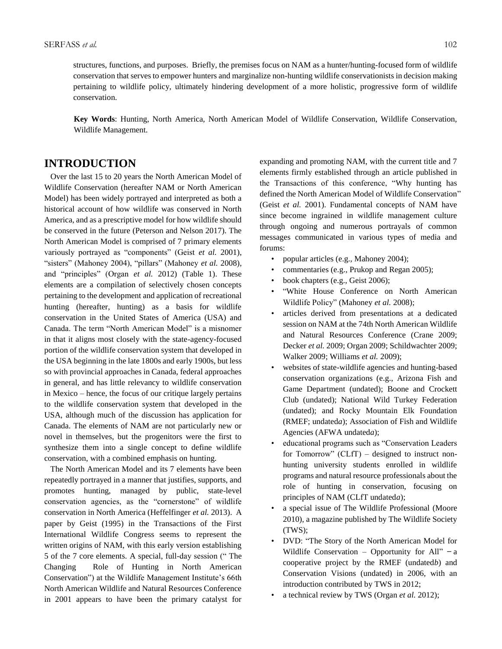structures, functions, and purposes. Briefly, the premises focus on NAM as a hunter/hunting-focused form of wildlife conservation that serves to empower hunters and marginalize non-hunting wildlife conservationists in decision making pertaining to wildlife policy, ultimately hindering development of a more holistic, progressive form of wildlife conservation.

**Key Words**: Hunting, North America, North American Model of Wildlife Conservation, Wildlife Conservation, Wildlife Management.

# **INTRODUCTION**

 Over the last 15 to 20 years the North American Model of Wildlife Conservation (hereafter NAM or North American Model) has been widely portrayed and interpreted as both a historical account of how wildlife was conserved in North America, and as a prescriptive model for how wildlife should be conserved in the future (Peterson and Nelson 2017). The North American Model is comprised of 7 primary elements variously portrayed as "components" (Geist *et al.* 2001), "sisters" (Mahoney 2004), "pillars" (Mahoney *et al.* 2008), and "principles" (Organ *et al.* 2012) (Table 1). These elements are a compilation of selectively chosen concepts pertaining to the development and application of recreational hunting (hereafter, hunting) as a basis for wildlife conservation in the United States of America (USA) and Canada. The term "North American Model" is a misnomer in that it aligns most closely with the state-agency-focused portion of the wildlife conservation system that developed in the USA beginning in the late 1800s and early 1900s, but less so with provincial approaches in Canada, federal approaches in general, and has little relevancy to wildlife conservation in Mexico – hence, the focus of our critique largely pertains to the wildlife conservation system that developed in the USA, although much of the discussion has application for Canada. The elements of NAM are not particularly new or novel in themselves, but the progenitors were the first to synthesize them into a single concept to define wildlife conservation, with a combined emphasis on hunting.

 The North American Model and its 7 elements have been repeatedly portrayed in a manner that justifies, supports, and promotes hunting, managed by public, state-level conservation agencies, as the "cornerstone" of wildlife conservation in North America (Heffelfinger *et al.* 2013). A paper by Geist (1995) in the Transactions of the First International Wildlife Congress seems to represent the written origins of NAM, with this early version establishing 5 of the 7 core elements. A special, full-day session (" The Changing Role of Hunting in North American Conservation") at the Wildlife Management Institute's 66th North American Wildlife and Natural Resources Conference in 2001 appears to have been the primary catalyst for

expanding and promoting NAM, with the current title and 7 elements firmly established through an article published in the Transactions of this conference, "Why hunting has defined the North American Model of Wildlife Conservation" (Geist *et al.* 2001). Fundamental concepts of NAM have since become ingrained in wildlife management culture through ongoing and numerous portrayals of common messages communicated in various types of media and forums:

- popular articles (e.g., Mahoney 2004);
- commentaries (e.g., Prukop and Regan 2005);
- book chapters (e.g., Geist 2006);
- "White House Conference on North American Wildlife Policy" (Mahoney *et al.* 2008);
- articles derived from presentations at a dedicated session on NAM at the 74th North American Wildlife and Natural Resources Conference (Crane 2009; Decker *et al.* 2009; Organ 2009; Schildwachter 2009; Walker 2009; Williams *et al.* 2009);
- websites of state-wildlife agencies and hunting-based conservation organizations (e.g., Arizona Fish and Game Department (undated); Boone and Crockett Club (undated); National Wild Turkey Federation (undated); and Rocky Mountain Elk Foundation (RMEF; undated*a*); Association of Fish and Wildlife Agencies (AFWA undated*a*);
- educational programs such as "Conservation Leaders for Tomorrow" (CLfT) – designed to instruct nonhunting university students enrolled in wildlife programs and natural resource professionals about the role of hunting in conservation, focusing on principles of NAM (CLfT undated*a*);
- a special issue of The Wildlife Professional (Moore 2010), a magazine published by The Wildlife Society (TWS);
- DVD: "The Story of the North American Model for Wildlife Conservation – Opportunity for All"  $-a$ cooperative project by the RMEF (undated*b*) and Conservation Visions (undated) in 2006, with an introduction contributed by TWS in 2012;
- a technical review by TWS (Organ *et al.* 2012);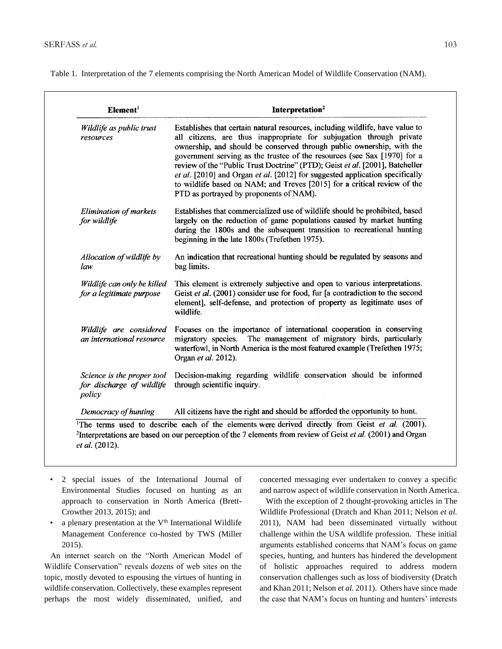Table 1. Interpretation of the 7 elements comprising the North American Model of Wildlife Conservation (NAM).

| Wildlife as public trust<br>resources                             | Establishes that certain natural resources, including wildlife, have value to<br>all citizens, are thus inappropriate for subjugation through private<br>ownership, and should be conserved through public ownership, with the<br>government serving as the trustee of the resources (see Sax [1970] for a<br>review of the "Public Trust Doctrine" (PTD); Geist et al. [2001], Batcheller<br>et al. [2010] and Organ et al. [2012] for suggested application specifically<br>to wildlife based on NAM; and Treves [2015] for a critical review of the<br>PTD as portrayed by proponents of NAM). |
|-------------------------------------------------------------------|---------------------------------------------------------------------------------------------------------------------------------------------------------------------------------------------------------------------------------------------------------------------------------------------------------------------------------------------------------------------------------------------------------------------------------------------------------------------------------------------------------------------------------------------------------------------------------------------------|
| <b>Elimination of markets</b><br>for wildlife                     | Establishes that commercialized use of wildlife should be prohibited, based<br>largely on the reduction of game populations caused by market hunting<br>during the 1800s and the subsequent transition to recreational hunting<br>beginning in the late 1800s (Trefethen 1975).                                                                                                                                                                                                                                                                                                                   |
| Allocation of wildlife by<br>law                                  | An indication that recreational hunting should be regulated by seasons and<br>bag limits.                                                                                                                                                                                                                                                                                                                                                                                                                                                                                                         |
| Wildlife can only be killed<br>for a legitimate purpose           | This element is extremely subjective and open to various interpretations.<br>Geist et al. (2001) consider use for food, fur [a contradiction to the second<br>element], self-defense, and protection of property as legitimate uses of<br>wildlife.                                                                                                                                                                                                                                                                                                                                               |
| Wildlife are considered<br>an international resource              | Focuses on the importance of international cooperation in conserving<br>migratory species. The management of migratory birds, particularly<br>waterfowl, in North America is the most featured example (Trefethen 1975;<br>Organ et al. 2012).                                                                                                                                                                                                                                                                                                                                                    |
| Science is the proper tool<br>for discharge of wildlife<br>policy | Decision-making regarding wildlife conservation should be informed<br>through scientific inquiry.                                                                                                                                                                                                                                                                                                                                                                                                                                                                                                 |
| Democracy of hunting                                              | All citizens have the right and should be afforded the opportunity to hunt.                                                                                                                                                                                                                                                                                                                                                                                                                                                                                                                       |

- 2 special issues of the International Journal of Environmental Studies focused on hunting as an approach to conservation in North America (Brett-Crowther 2013, 2015); and
- a plenary presentation at the  $V<sup>th</sup>$  International Wildlife Management Conference co-hosted by TWS (Miller 2015).

 An internet search on the "North American Model of Wildlife Conservation" reveals dozens of web sites on the topic, mostly devoted to espousing the virtues of hunting in wildlife conservation. Collectively, these examples represent perhaps the most widely disseminated, unified, and concerted messaging ever undertaken to convey a specific and narrow aspect of wildlife conservation in North America.

 With the exception of 2 thought-provoking articles in The Wildlife Professional (Dratch and Khan 2011; Nelson *et al.* 2011), NAM had been disseminated virtually without challenge within the USA wildlife profession. These initial arguments established concerns that NAM's focus on game species, hunting, and hunters has hindered the development of holistic approaches required to address modern conservation challenges such as loss of biodiversity (Dratch and Khan 2011; Nelson *et al.* 2011). Others have since made the case that NAM's focus on hunting and hunters' interests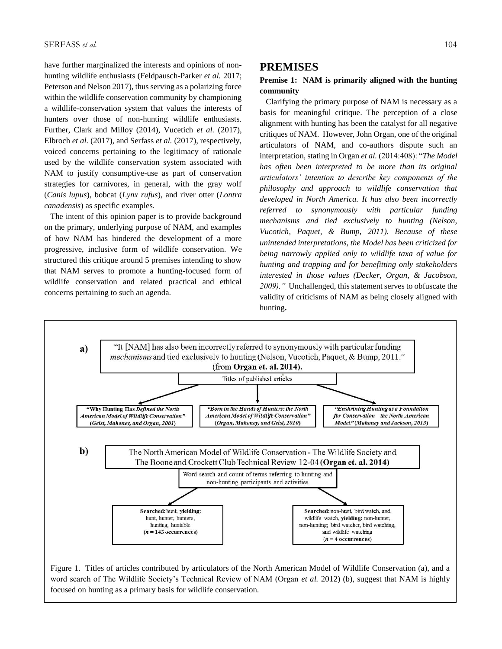have further marginalized the interests and opinions of nonhunting wildlife enthusiasts (Feldpausch-Parker *et al.* 2017; Peterson and Nelson 2017), thus serving as a polarizing force within the wildlife conservation community by championing a wildlife-conservation system that values the interests of hunters over those of non-hunting wildlife enthusiasts. Further, Clark and Milloy (2014), Vucetich *et al.* (2017), Elbroch *et al.* (2017), and Serfass *et al.* (2017), respectively, voiced concerns pertaining to the legitimacy of rationale used by the wildlife conservation system associated with NAM to justify consumptive-use as part of conservation strategies for carnivores, in general, with the gray wolf (*Canis lupus*), bobcat (*Lynx rufus*), and river otter (*Lontra canadensis*) as specific examples.

 The intent of this opinion paper is to provide background on the primary, underlying purpose of NAM, and examples of how NAM has hindered the development of a more progressive, inclusive form of wildlife conservation. We structured this critique around 5 premises intending to show that NAM serves to promote a hunting-focused form of wildlife conservation and related practical and ethical concerns pertaining to such an agenda.

#### **PREMISES**

#### **Premise 1: NAM is primarily aligned with the hunting community**

Clarifying the primary purpose of NAM is necessary as a basis for meaningful critique. The perception of a close alignment with hunting has been the catalyst for all negative critiques of NAM. However, John Organ, one of the original articulators of NAM, and co-authors dispute such an interpretation, stating in Organ *et al.* (2014:408): "*The Model has often been interpreted to be more than its original articulators' intention to describe key components of the philosophy and approach to wildlife conservation that developed in North America. It has also been incorrectly referred to synonymously with particular funding mechanisms and tied exclusively to hunting (Nelson, Vucotich, Paquet, & Bump, 2011). Because of these unintended interpretations, the Model has been criticized for being narrowly applied only to wildlife taxa of value for hunting and trapping and for benefitting only stakeholders interested in those values (Decker, Organ, & Jacobson, 2009)."* Unchallenged, this statement serves to obfuscate the validity of criticisms of NAM as being closely aligned with hunting**.**



Figure 1. Titles of articles contributed by articulators of the North American Model of Wildlife Conservation (a), and a word search of The Wildlife Society's Technical Review of NAM (Organ *et al.* 2012) (b), suggest that NAM is highly focused on hunting as a primary basis for wildlife conservation.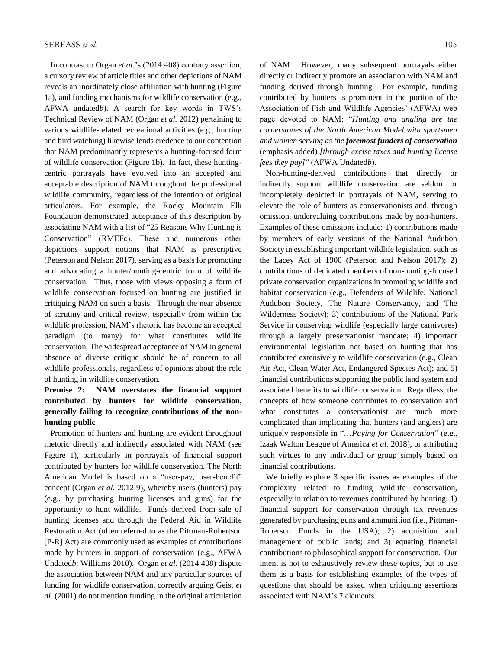In contrast to Organ *et al.*'s (2014:408) contrary assertion, a cursory review of article titles and other depictions of NAM reveals an inordinately close affiliation with hunting (Figure 1a), and funding mechanisms for wildlife conservation (e.g., AFWA undated*b*). A search for key words in TWS's Technical Review of NAM (Organ *et al.* 2012) pertaining to various wildlife-related recreational activities (e.g., hunting and bird watching) likewise lends credence to our contention that NAM predominantly represents a hunting-focused form of wildlife conservation (Figure 1b). In fact, these huntingcentric portrayals have evolved into an accepted and acceptable description of NAM throughout the professional wildlife community, regardless of the intention of original articulators. For example, the Rocky Mountain Elk Foundation demonstrated acceptance of this description by associating NAM with a list of "25 Reasons Why Hunting is Conservation" (RMEFc). These and numerous other depictions support notions that NAM is prescriptive (Peterson and Nelson 2017), serving as a basis for promoting and advocating a hunter/hunting-centric form of wildlife conservation. Thus, those with views opposing a form of wildlife conservation focused on hunting are justified in critiquing NAM on such a basis. Through the near absence of scrutiny and critical review, especially from within the wildlife profession, NAM's rhetoric has become an accepted paradigm (to many) for what constitutes wildlife conservation. The widespread acceptance of NAM in general absence of diverse critique should be of concern to all wildlife professionals, regardless of opinions about the role of hunting in wildlife conservation.

### **Premise 2: NAM overstates the financial support contributed by hunters for wildlife conservation, generally failing to recognize contributions of the nonhunting public**

 Promotion of hunters and hunting are evident throughout rhetoric directly and indirectly associated with NAM (see Figure 1), particularly in portrayals of financial support contributed by hunters for wildlife conservation. The North American Model is based on a "user-pay, user-benefit" concept (Organ *et al.* 2012:9), whereby users (hunters) pay (e.g., by purchasing hunting licenses and guns) for the opportunity to hunt wildlife. Funds derived from sale of hunting licenses and through the Federal Aid in Wildlife Restoration Act (often referred to as the Pittman-Robertson [P-R] Act) are commonly used as examples of contributions made by hunters in support of conservation (e.g., AFWA Undated*b*; Williams 2010). Organ *et al.* (2014:408) dispute the association between NAM and any particular sources of funding for wildlife conservation, correctly arguing Geist *et al.* (2001) do not mention funding in the original articulation

of NAM. However, many subsequent portrayals either directly or indirectly promote an association with NAM and funding derived through hunting. For example, funding contributed by hunters is prominent in the portion of the Association of Fish and Wildlife Agencies' (AFWA) web page devoted to NAM: "*Hunting and angling are the cornerstones of the North American Model with sportsmen and women serving as the foremost funders of conservation* (emphasis added) *[through excise taxes and hunting license fees they pay]*" (AFWA Undated*b*).

 Non-hunting-derived contributions that directly or indirectly support wildlife conservation are seldom or incompletely depicted in portrayals of NAM, serving to elevate the role of hunters as conservationists and, through omission, undervaluing contributions made by non-hunters. Examples of these omissions include: 1) contributions made by members of early versions of the National Audubon Society in establishing important wildlife legislation, such as the Lacey Act of 1900 (Peterson and Nelson 2017); 2) contributions of dedicated members of non-hunting-focused private conservation organizations in promoting wildlife and habitat conservation (e.g., Defenders of Wildlife, National Audubon Society, The Nature Conservancy, and The Wilderness Society); 3) contributions of the National Park Service in conserving wildlife (especially large carnivores) through a largely preservationist mandate; 4) important environmental legislation not based on hunting that has contributed extensively to wildlife conservation (e.g., Clean Air Act, Clean Water Act, Endangered Species Act); and 5) financial contributions supporting the public land system and associated benefits to wildlife conservation. Regardless, the concepts of how someone contributes to conservation and what constitutes a conservationist are much more complicated than implicating that hunters (and anglers) are uniquely responsible in "…*Paying for Conservation*" (e.g., Izaak Walton League of America *et al.* 2018), or attributing such virtues to any individual or group simply based on financial contributions.

 We briefly explore 3 specific issues as examples of the complexity related to funding wildlife conservation, especially in relation to revenues contributed by hunting: 1) financial support for conservation through tax revenues generated by purchasing guns and ammunition (i.e., Pittman-Roberson Funds in the USA); 2) acquisition and management of public lands; and 3) equating financial contributions to philosophical support for conservation. Our intent is not to exhaustively review these topics, but to use them as a basis for establishing examples of the types of questions that should be asked when critiquing assertions associated with NAM's 7 elements.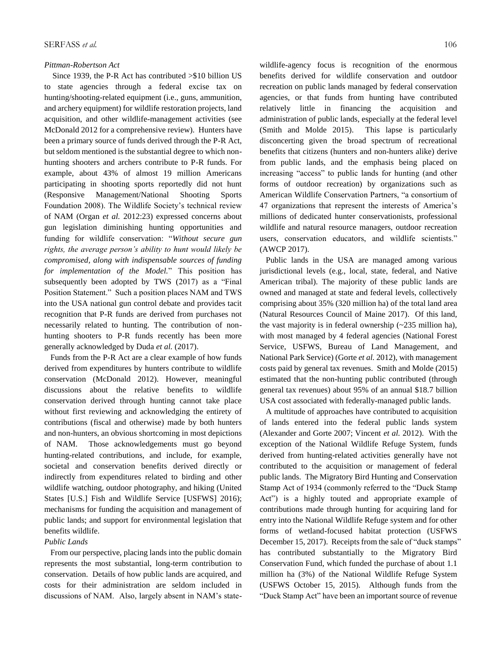#### *Pittman-Robertson Act*

 Since 1939, the P-R Act has contributed >\$10 billion US to state agencies through a federal excise tax on hunting/shooting-related equipment (i.e., guns, ammunition, and archery equipment) for wildlife restoration projects, land acquisition, and other wildlife-management activities (see McDonald 2012 for a comprehensive review). Hunters have been a primary source of funds derived through the P-R Act, but seldom mentioned is the substantial degree to which nonhunting shooters and archers contribute to P-R funds. For example, about 43% of almost 19 million Americans participating in shooting sports reportedly did not hunt (Responsive Management/National Shooting Sports Foundation 2008). The Wildlife Society's technical review of NAM (Organ *et al.* 2012:23) expressed concerns about gun legislation diminishing hunting opportunities and funding for wildlife conservation: "*Without secure gun rights, the average person's ability to hunt would likely be compromised, along with indispensable sources of funding for implementation of the Model.*" This position has subsequently been adopted by TWS (2017) as a "Final Position Statement." Such a position places NAM and TWS into the USA national gun control debate and provides tacit recognition that P-R funds are derived from purchases not necessarily related to hunting. The contribution of nonhunting shooters to P-R funds recently has been more generally acknowledged by Duda *et al.* (2017).

 Funds from the P-R Act are a clear example of how funds derived from expenditures by hunters contribute to wildlife conservation (McDonald 2012). However, meaningful discussions about the relative benefits to wildlife conservation derived through hunting cannot take place without first reviewing and acknowledging the entirety of contributions (fiscal and otherwise) made by both hunters and non-hunters, an obvious shortcoming in most depictions of NAM. Those acknowledgements must go beyond hunting-related contributions, and include, for example, societal and conservation benefits derived directly or indirectly from expenditures related to birding and other wildlife watching, outdoor photography, and hiking (United States [U.S.] Fish and Wildlife Service [USFWS] 2016); mechanisms for funding the acquisition and management of public lands; and support for environmental legislation that benefits wildlife.

#### *Public Lands*

 From our perspective, placing lands into the public domain represents the most substantial, long-term contribution to conservation. Details of how public lands are acquired, and costs for their administration are seldom included in discussions of NAM. Also, largely absent in NAM's statewildlife-agency focus is recognition of the enormous benefits derived for wildlife conservation and outdoor recreation on public lands managed by federal conservation agencies, or that funds from hunting have contributed relatively little in financing the acquisition and administration of public lands, especially at the federal level (Smith and Molde 2015). This lapse is particularly disconcerting given the broad spectrum of recreational benefits that citizens (hunters and non-hunters alike) derive from public lands, and the emphasis being placed on increasing "access" to public lands for hunting (and other forms of outdoor recreation) by organizations such as American Wildlife Conservation Partners, "a consortium of 47 organizations that represent the interests of America's millions of dedicated hunter conservationists, professional wildlife and natural resource managers, outdoor recreation users, conservation educators, and wildlife scientists." (AWCP 2017).

 Public lands in the USA are managed among various jurisdictional levels (e.g., local, state, federal, and Native American tribal). The majority of these public lands are owned and managed at state and federal levels, collectively comprising about 35% (320 million ha) of the total land area (Natural Resources Council of Maine 2017). Of this land, the vast majority is in federal ownership (~235 million ha), with most managed by 4 federal agencies (National Forest Service, USFWS, Bureau of Land Management, and National Park Service) (Gorte *et al.* 2012), with management costs paid by general tax revenues. Smith and Molde (2015) estimated that the non-hunting public contributed (through general tax revenues) about 95% of an annual \$18.7 billion USA cost associated with federally-managed public lands.

 A multitude of approaches have contributed to acquisition of lands entered into the federal public lands system (Alexander and Gorte 2007; Vincent *et al.* 2012). With the exception of the National Wildlife Refuge System, funds derived from hunting-related activities generally have not contributed to the acquisition or management of federal public lands. The Migratory Bird Hunting and Conservation Stamp Act of 1934 (commonly referred to the "Duck Stamp Act") is a highly touted and appropriate example of contributions made through hunting for acquiring land for entry into the National Wildlife Refuge system and for other forms of wetland-focused habitat protection (USFWS December 15, 2017). Receipts from the sale of "duck stamps" has contributed substantially to the Migratory Bird Conservation Fund, which funded the purchase of about 1.1 million ha (3%) of the National Wildlife Refuge System (USFWS October 15, 2015). Although funds from the "Duck Stamp Act" have been an important source of revenue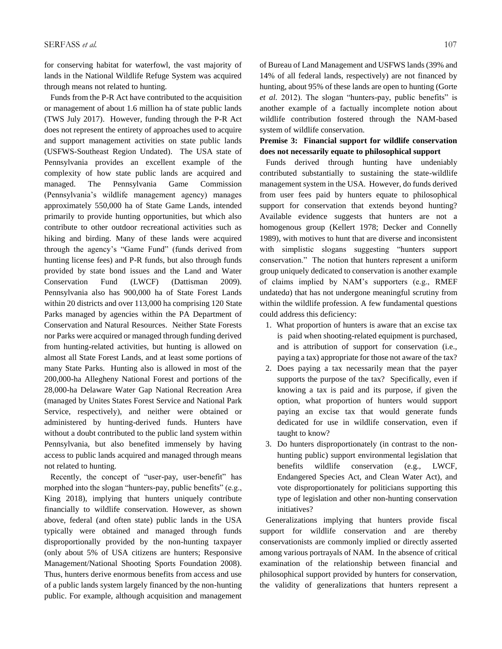for conserving habitat for waterfowl, the vast majority of lands in the National Wildlife Refuge System was acquired through means not related to hunting.

 Funds from the P-R Act have contributed to the acquisition or management of about 1.6 million ha of state public lands (TWS July 2017). However, funding through the P-R Act does not represent the entirety of approaches used to acquire and support management activities on state public lands (USFWS-Southeast Region Undated). The USA state of Pennsylvania provides an excellent example of the complexity of how state public lands are acquired and managed. The Pennsylvania Game Commission (Pennsylvania's wildlife management agency) manages approximately 550,000 ha of State Game Lands, intended primarily to provide hunting opportunities, but which also contribute to other outdoor recreational activities such as hiking and birding. Many of these lands were acquired through the agency's "Game Fund" (funds derived from hunting license fees) and P-R funds, but also through funds provided by state bond issues and the Land and Water Conservation Fund (LWCF) (Dattisman 2009). Pennsylvania also has 900,000 ha of State Forest Lands within 20 districts and over 113,000 ha comprising 120 State Parks managed by agencies within the PA Department of Conservation and Natural Resources. Neither State Forests nor Parks were acquired or managed through funding derived from hunting-related activities, but hunting is allowed on almost all State Forest Lands, and at least some portions of many State Parks. Hunting also is allowed in most of the 200,000-ha Allegheny National Forest and portions of the 28,000-ha Delaware Water Gap National Recreation Area (managed by Unites States Forest Service and National Park Service, respectively), and neither were obtained or administered by hunting-derived funds. Hunters have without a doubt contributed to the public land system within Pennsylvania, but also benefited immensely by having access to public lands acquired and managed through means not related to hunting.

 Recently, the concept of "user-pay, user-benefit" has morphed into the slogan "hunters-pay, public benefits" (e.g., King 2018), implying that hunters uniquely contribute financially to wildlife conservation. However, as shown above, federal (and often state) public lands in the USA typically were obtained and managed through funds disproportionally provided by the non-hunting taxpayer (only about 5% of USA citizens are hunters; Responsive Management/National Shooting Sports Foundation 2008). Thus, hunters derive enormous benefits from access and use of a public lands system largely financed by the non-hunting public. For example, although acquisition and management of Bureau of Land Management and USFWS lands (39% and 14% of all federal lands, respectively) are not financed by hunting, about 95% of these lands are open to hunting (Gorte *et al.* 2012). The slogan "hunters-pay, public benefits" is another example of a factually incomplete notion about wildlife contribution fostered through the NAM-based system of wildlife conservation.

#### **Premise 3: Financial support for wildlife conservation does not necessarily equate to philosophical support**

 Funds derived through hunting have undeniably contributed substantially to sustaining the state-wildlife management system in the USA. However, do funds derived from user fees paid by hunters equate to philosophical support for conservation that extends beyond hunting? Available evidence suggests that hunters are not a homogenous group (Kellert 1978; Decker and Connelly 1989), with motives to hunt that are diverse and inconsistent with simplistic slogans suggesting "hunters support conservation." The notion that hunters represent a uniform group uniquely dedicated to conservation is another example of claims implied by NAM's supporters (e.g., RMEF undated*a*) that has not undergone meaningful scrutiny from within the wildlife profession. A few fundamental questions could address this deficiency:

- 1. What proportion of hunters is aware that an excise tax is paid when shooting-related equipment is purchased, and is attribution of support for conservation (i.e., paying a tax) appropriate for those not aware of the tax?
- 2. Does paying a tax necessarily mean that the payer supports the purpose of the tax? Specifically, even if knowing a tax is paid and its purpose, if given the option, what proportion of hunters would support paying an excise tax that would generate funds dedicated for use in wildlife conservation, even if taught to know?
- 3. Do hunters disproportionately (in contrast to the nonhunting public) support environmental legislation that benefits wildlife conservation (e.g., LWCF, Endangered Species Act, and Clean Water Act), and vote disproportionately for politicians supporting this type of legislation and other non-hunting conservation initiatives?

 Generalizations implying that hunters provide fiscal support for wildlife conservation and are thereby conservationists are commonly implied or directly asserted among various portrayals of NAM. In the absence of critical examination of the relationship between financial and philosophical support provided by hunters for conservation, the validity of generalizations that hunters represent a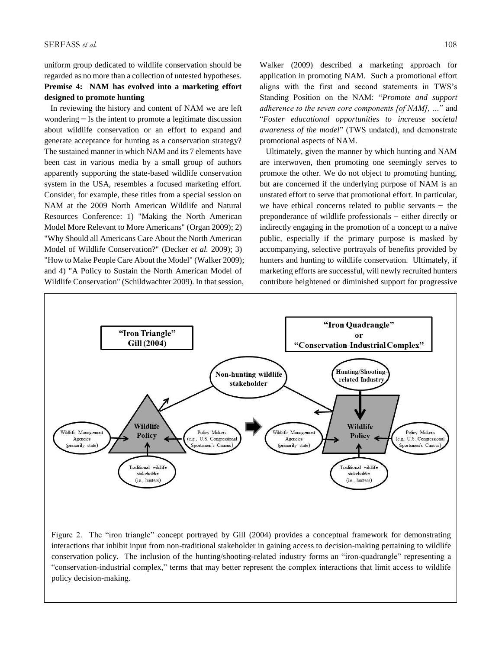uniform group dedicated to wildlife conservation should be regarded as no more than a collection of untested hypotheses. **Premise 4: NAM has evolved into a marketing effort designed to promote hunting** 

 In reviewing the history and content of NAM we are left wondering  $-$  Is the intent to promote a legitimate discussion about wildlife conservation or an effort to expand and generate acceptance for hunting as a conservation strategy? The sustained manner in which NAM and its 7 elements have been cast in various media by a small group of authors apparently supporting the state-based wildlife conservation system in the USA, resembles a focused marketing effort. Consider, for example, these titles from a special session on NAM at the 2009 North American Wildlife and Natural Resources Conference: 1) "Making the North American Model More Relevant to More Americans" (Organ 2009); 2) "Why Should all Americans Care About the North American Model of Wildlife Conservation?" (Decker *et al.* 2009); 3) "How to Make People Care About the Model" (Walker 2009); and 4) "A Policy to Sustain the North American Model of Wildlife Conservation" (Schildwachter 2009). In that session,

Walker (2009) described a marketing approach for application in promoting NAM. Such a promotional effort aligns with the first and second statements in TWS's Standing Position on the NAM: "*Promote and support adherence to the seven core components [of NAM], …*" and "*Foster educational opportunities to increase societal awareness of the model*" (TWS undated), and demonstrate promotional aspects of NAM.

 Ultimately, given the manner by which hunting and NAM are interwoven, then promoting one seemingly serves to promote the other. We do not object to promoting hunting, but are concerned if the underlying purpose of NAM is an unstated effort to serve that promotional effort. In particular, we have ethical concerns related to public servants  $-$  the preponderance of wildlife professionals ̶ either directly or indirectly engaging in the promotion of a concept to a naïve public, especially if the primary purpose is masked by accompanying, selective portrayals of benefits provided by hunters and hunting to wildlife conservation. Ultimately, if marketing efforts are successful, will newly recruited hunters contribute heightened or diminished support for progressive



Figure 2. The "iron triangle" concept portrayed by Gill (2004) provides a conceptual framework for demonstrating interactions that inhibit input from non-traditional stakeholder in gaining access to decision-making pertaining to wildlife conservation policy. The inclusion of the hunting/shooting-related industry forms an "iron-quadrangle" representing a "conservation-industrial complex," terms that may better represent the complex interactions that limit access to wildlife policy decision-making.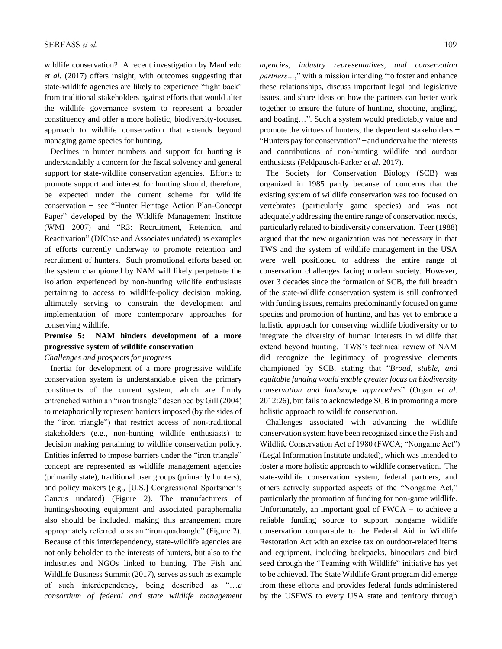wildlife conservation? A recent investigation by Manfredo *et al.* (2017) offers insight, with outcomes suggesting that state-wildlife agencies are likely to experience "fight back" from traditional stakeholders against efforts that would alter the wildlife governance system to represent a broader constituency and offer a more holistic, biodiversity-focused approach to wildlife conservation that extends beyond managing game species for hunting.

 Declines in hunter numbers and support for hunting is understandably a concern for the fiscal solvency and general support for state-wildlife conservation agencies. Efforts to promote support and interest for hunting should, therefore, be expected under the current scheme for wildlife conservation ̶ see "Hunter Heritage Action Plan-Concept Paper" developed by the Wildlife Management Institute (WMI 2007) and "R3: Recruitment, Retention, and Reactivation" (DJCase and Associates undated) as examples of efforts currently underway to promote retention and recruitment of hunters. Such promotional efforts based on the system championed by NAM will likely perpetuate the isolation experienced by non-hunting wildlife enthusiasts pertaining to access to wildlife-policy decision making, ultimately serving to constrain the development and implementation of more contemporary approaches for conserving wildlife.

## **Premise 5: NAM hinders development of a more progressive system of wildlife conservation**

#### *Challenges and prospects for progress*

 Inertia for development of a more progressive wildlife conservation system is understandable given the primary constituents of the current system, which are firmly entrenched within an "iron triangle" described by Gill (2004) to metaphorically represent barriers imposed (by the sides of the "iron triangle") that restrict access of non-traditional stakeholders (e.g., non-hunting wildlife enthusiasts) to decision making pertaining to wildlife conservation policy. Entities inferred to impose barriers under the "iron triangle" concept are represented as wildlife management agencies (primarily state), traditional user groups (primarily hunters), and policy makers (e.g., [U.S.] Congressional Sportsmen's Caucus undated) (Figure 2). The manufacturers of hunting/shooting equipment and associated paraphernalia also should be included, making this arrangement more appropriately referred to as an "iron quadrangle" (Figure 2). Because of this interdependency, state-wildlife agencies are not only beholden to the interests of hunters, but also to the industries and NGOs linked to hunting. The Fish and Wildlife Business Summit (2017), serves as such as example of such interdependency, being described as "…*a consortium of federal and state wildlife management*  *agencies, industry representatives, and conservation partners…*," with a mission intending "to foster and enhance these relationships, discuss important legal and legislative issues, and share ideas on how the partners can better work together to ensure the future of hunting, shooting, angling, and boating…". Such a system would predictably value and promote the virtues of hunters, the dependent stakeholders ̶ "Hunters pay for conservation" ̶ and undervalue the interests and contributions of non-hunting wildlife and outdoor enthusiasts (Feldpausch-Parker *et al.* 2017).

 The Society for Conservation Biology (SCB) was organized in 1985 partly because of concerns that the existing system of wildlife conservation was too focused on vertebrates (particularly game species) and was not adequately addressing the entire range of conservation needs, particularly related to biodiversity conservation. Teer (1988) argued that the new organization was not necessary in that TWS and the system of wildlife management in the USA were well positioned to address the entire range of conservation challenges facing modern society. However, over 3 decades since the formation of SCB, the full breadth of the state-wildlife conservation system is still confronted with funding issues, remains predominantly focused on game species and promotion of hunting, and has yet to embrace a holistic approach for conserving wildlife biodiversity or to integrate the diversity of human interests in wildlife that extend beyond hunting. TWS's technical review of NAM did recognize the legitimacy of progressive elements championed by SCB, stating that "*Broad, stable, and equitable funding would enable greater focus on biodiversity conservation and landscape approaches*" (Organ *et al.* 2012:26), but fails to acknowledge SCB in promoting a more holistic approach to wildlife conservation.

 Challenges associated with advancing the wildlife conservation system have been recognized since the Fish and Wildlife Conservation Act of 1980 (FWCA; "Nongame Act") (Legal Information Institute undated), which was intended to foster a more holistic approach to wildlife conservation. The state-wildlife conservation system, federal partners, and others actively supported aspects of the "Nongame Act," particularly the promotion of funding for non-game wildlife. Unfortunately, an important goal of  $FWCA -$  to achieve a reliable funding source to support nongame wildlife conservation comparable to the Federal Aid in Wildlife Restoration Act with an excise tax on outdoor-related items and equipment, including backpacks, binoculars and bird seed through the "Teaming with Wildlife" initiative has yet to be achieved. The State Wildlife Grant program did emerge from these efforts and provides federal funds administered by the USFWS to every USA state and territory through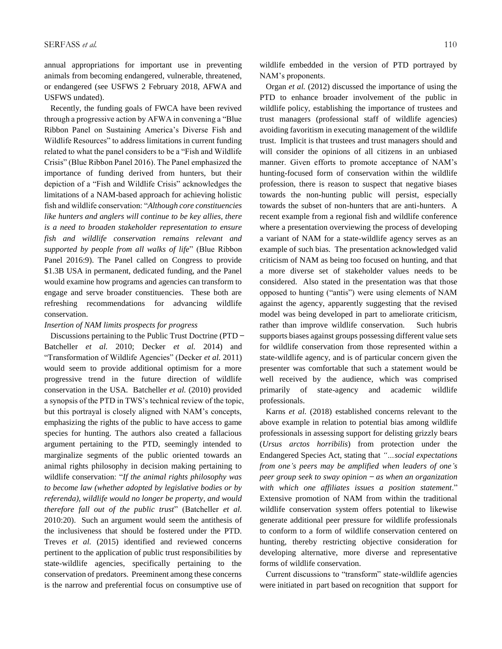annual appropriations for important use in preventing animals from becoming endangered, vulnerable, threatened, or endangered (see USFWS 2 February 2018, AFWA and USFWS undated).

 Recently, the funding goals of FWCA have been revived through a progressive action by AFWA in convening a "Blue Ribbon Panel on Sustaining America's Diverse Fish and Wildlife Resources" to address limitations in current funding related to what the panel considers to be a "Fish and Wildlife Crisis" (Blue Ribbon Panel 2016). The Panel emphasized the importance of funding derived from hunters, but their depiction of a "Fish and Wildlife Crisis" acknowledges the limitations of a NAM-based approach for achieving holistic fish and wildlife conservation: "*Although core constituencies like hunters and anglers will continue to be key allies, there is a need to broaden stakeholder representation to ensure fish and wildlife conservation remains relevant and supported by people from all walks of life*" (Blue Ribbon Panel 2016:9). The Panel called on Congress to provide \$1.3B USA in permanent, dedicated funding, and the Panel would examine how programs and agencies can transform to engage and serve broader constituencies. These both are refreshing recommendations for advancing wildlife conservation.

#### *Insertion of NAM limits prospects for progress*

Discussions pertaining to the Public Trust Doctrine (PTD – Batcheller *et al.* 2010; Decker *et al.* 2014) and "Transformation of Wildlife Agencies" (Decker *et al.* 2011) would seem to provide additional optimism for a more progressive trend in the future direction of wildlife conservation in the USA. Batcheller *et al.* (2010) provided a synopsis of the PTD in TWS's technical review of the topic, but this portrayal is closely aligned with NAM's concepts, emphasizing the rights of the public to have access to game species for hunting. The authors also created a fallacious argument pertaining to the PTD, seemingly intended to marginalize segments of the public oriented towards an animal rights philosophy in decision making pertaining to wildlife conservation: "*If the animal rights philosophy was to become law (whether adopted by legislative bodies or by referenda), wildlife would no longer be property, and would therefore fall out of the public trust*" (Batcheller *et al.* 2010:20). Such an argument would seem the antithesis of the inclusiveness that should be fostered under the PTD. Treves *et al.* (2015) identified and reviewed concerns pertinent to the application of public trust responsibilities by state-wildlife agencies, specifically pertaining to the conservation of predators. Preeminent among these concerns is the narrow and preferential focus on consumptive use of

wildlife embedded in the version of PTD portrayed by NAM's proponents.

 Organ *et al.* (2012) discussed the importance of using the PTD to enhance broader involvement of the public in wildlife policy, establishing the importance of trustees and trust managers (professional staff of wildlife agencies) avoiding favoritism in executing management of the wildlife trust. Implicit is that trustees and trust managers should and will consider the opinions of all citizens in an unbiased manner. Given efforts to promote acceptance of NAM's hunting-focused form of conservation within the wildlife profession, there is reason to suspect that negative biases towards the non-hunting public will persist, especially towards the subset of non-hunters that are anti-hunters. A recent example from a regional fish and wildlife conference where a presentation overviewing the process of developing a variant of NAM for a state-wildlife agency serves as an example of such bias. The presentation acknowledged valid criticism of NAM as being too focused on hunting, and that a more diverse set of stakeholder values needs to be considered. Also stated in the presentation was that those opposed to hunting ("antis") were using elements of NAM against the agency, apparently suggesting that the revised model was being developed in part to ameliorate criticism, rather than improve wildlife conservation. Such hubris supports biases against groups possessing different value sets for wildlife conservation from those represented within a state-wildlife agency, and is of particular concern given the presenter was comfortable that such a statement would be well received by the audience, which was comprised primarily of state-agency and academic wildlife professionals.

 Karns *et al.* (2018) established concerns relevant to the above example in relation to potential bias among wildlife professionals in assessing support for delisting grizzly bears (*Ursus arctos horribilis*) from protection under the Endangered Species Act, stating that *"…social expectations from one's peers may be amplified when leaders of one's peer group seek to sway opinion ̶ as when an organization with which one affiliates issues a position statement*." Extensive promotion of NAM from within the traditional wildlife conservation system offers potential to likewise generate additional peer pressure for wildlife professionals to conform to a form of wildlife conservation centered on hunting, thereby restricting objective consideration for developing alternative, more diverse and representative forms of wildlife conservation.

 Current discussions to "transform" state-wildlife agencies were initiated in part based on recognition that support for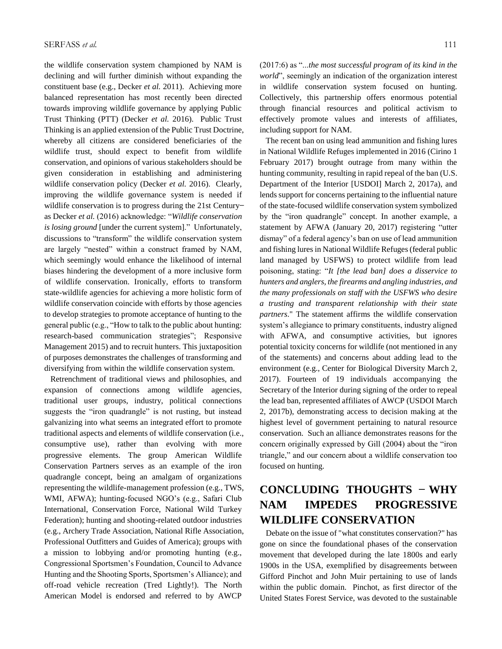the wildlife conservation system championed by NAM is declining and will further diminish without expanding the constituent base (e.g., Decker *et al.* 2011). Achieving more balanced representation has most recently been directed towards improving wildlife governance by applying Public Trust Thinking (PTT) (Decker *et al.* 2016). Public Trust Thinking is an applied extension of the Public Trust Doctrine, whereby all citizens are considered beneficiaries of the wildlife trust, should expect to benefit from wildlife conservation, and opinions of various stakeholders should be given consideration in establishing and administering wildlife conservation policy (Decker *et al.* 2016). Clearly, improving the wildlife governance system is needed if wildlife conservation is to progress during the 21st Centuryas Decker *et al.* (2016) acknowledge: "*Wildlife conservation is losing ground* [under the current system]." Unfortunately, discussions to "transform" the wildlife conservation system are largely "nested" within a construct framed by NAM, which seemingly would enhance the likelihood of internal biases hindering the development of a more inclusive form of wildlife conservation. Ironically, efforts to transform state-wildlife agencies for achieving a more holistic form of wildlife conservation coincide with efforts by those agencies to develop strategies to promote acceptance of hunting to the general public (e.g., "How to talk to the public about hunting: research-based communication strategies"; Responsive Management 2015) and to recruit hunters. This juxtaposition of purposes demonstrates the challenges of transforming and diversifying from within the wildlife conservation system.

 Retrenchment of traditional views and philosophies, and expansion of connections among wildlife agencies, traditional user groups, industry, political connections suggests the "iron quadrangle" is not rusting, but instead galvanizing into what seems an integrated effort to promote traditional aspects and elements of wildlife conservation (i.e., consumptive use), rather than evolving with more progressive elements. The group American Wildlife Conservation Partners serves as an example of the iron quadrangle concept, being an amalgam of organizations representing the wildlife-management profession (e.g., TWS, WMI, AFWA); hunting-focused NGO's (e.g., Safari Club International, Conservation Force, National Wild Turkey Federation); hunting and shooting-related outdoor industries (e.g., Archery Trade Association, National Rifle Association, Professional Outfitters and Guides of America); groups with a mission to lobbying and/or promoting hunting (e.g., Congressional Sportsmen's Foundation, Council to Advance Hunting and the Shooting Sports, Sportsmen's Alliance); and off-road vehicle recreation (Tred Lightly!). The North American Model is endorsed and referred to by AWCP

(2017:6) as "...*the most successful program of its kind in the world*", seemingly an indication of the organization interest in wildlife conservation system focused on hunting. Collectively, this partnership offers enormous potential through financial resources and political activism to effectively promote values and interests of affiliates, including support for NAM.

 The recent ban on using lead ammunition and fishing lures in National Wildlife Refuges implemented in 2016 (Cirino 1 February 2017) brought outrage from many within the hunting community, resulting in rapid repeal of the ban (U.S. Department of the Interior [USDOI] March 2, 2017a), and lends support for concerns pertaining to the influential nature of the state-focused wildlife conservation system symbolized by the "iron quadrangle" concept. In another example, a statement by AFWA (January 20, 2017) registering "utter dismay" of a federal agency's ban on use of lead ammunition and fishing lures in National Wildlife Refuges (federal public land managed by USFWS) to protect wildlife from lead poisoning, stating: "*It [the lead ban] does a disservice to hunters and anglers, the firearms and angling industries, and the many professionals on staff with the USFWS who desire a trusting and transparent relationship with their state partners*." The statement affirms the wildlife conservation system's allegiance to primary constituents, industry aligned with AFWA, and consumptive activities, but ignores potential toxicity concerns for wildlife (not mentioned in any of the statements) and concerns about adding lead to the environment (e.g., Center for Biological Diversity March 2, 2017). Fourteen of 19 individuals accompanying the Secretary of the Interior during signing of the order to repeal the lead ban, represented affiliates of AWCP (USDOI March 2, 2017b), demonstrating access to decision making at the highest level of government pertaining to natural resource conservation. Such an alliance demonstrates reasons for the concern originally expressed by Gill (2004) about the "iron triangle," and our concern about a wildlife conservation too focused on hunting.

# **CONCLUDING THOUGHTS – WHY NAM IMPEDES PROGRESSIVE WILDLIFE CONSERVATION**

 Debate on the issue of "what constitutes conservation?" has gone on since the foundational phases of the conservation movement that developed during the late 1800s and early 1900s in the USA, exemplified by disagreements between Gifford Pinchot and John Muir pertaining to use of lands within the public domain. Pinchot, as first director of the United States Forest Service, was devoted to the sustainable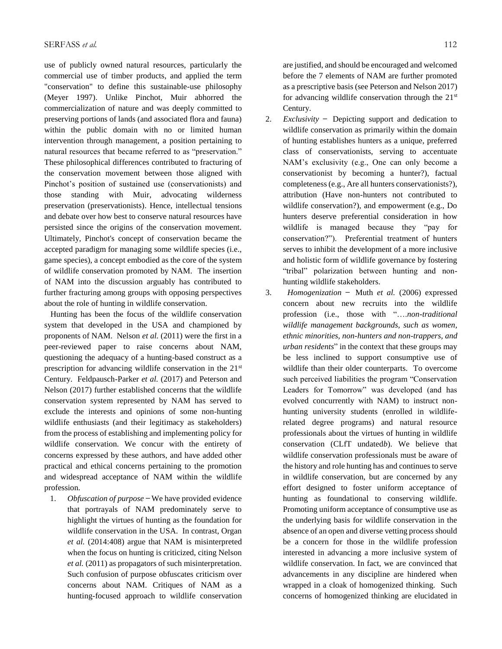use of publicly owned natural resources, particularly the commercial use of timber products, and applied the term "conservation" to define this sustainable-use philosophy (Meyer 1997). Unlike Pinchot, Muir abhorred the commercialization of nature and was deeply committed to preserving portions of lands (and associated flora and fauna) within the public domain with no or limited human intervention through management, a position pertaining to natural resources that became referred to as "preservation." These philosophical differences contributed to fracturing of the conservation movement between those aligned with Pinchot's position of sustained use (conservationists) and those standing with Muir, advocating wilderness preservation (preservationists). Hence, intellectual tensions and debate over how best to conserve natural resources have persisted since the origins of the conservation movement. Ultimately, Pinchot's concept of conservation became the accepted paradigm for managing some wildlife species (i.e., game species), a concept embodied as the core of the system of wildlife conservation promoted by NAM. The insertion of NAM into the discussion arguably has contributed to further fracturing among groups with opposing perspectives about the role of hunting in wildlife conservation.

 Hunting has been the focus of the wildlife conservation system that developed in the USA and championed by proponents of NAM. Nelson *et al.* (2011) were the first in a peer-reviewed paper to raise concerns about NAM, questioning the adequacy of a hunting-based construct as a prescription for advancing wildlife conservation in the 21<sup>st</sup> Century. Feldpausch-Parker *et al.* (2017) and Peterson and Nelson (2017) further established concerns that the wildlife conservation system represented by NAM has served to exclude the interests and opinions of some non-hunting wildlife enthusiasts (and their legitimacy as stakeholders) from the process of establishing and implementing policy for wildlife conservation. We concur with the entirety of concerns expressed by these authors, and have added other practical and ethical concerns pertaining to the promotion and widespread acceptance of NAM within the wildlife profession.

1. *Obfuscation of purpose* ̶ We have provided evidence that portrayals of NAM predominately serve to highlight the virtues of hunting as the foundation for wildlife conservation in the USA. In contrast, Organ *et al.* (2014:408) argue that NAM is misinterpreted when the focus on hunting is criticized, citing Nelson *et al.* (2011) as propagators of such misinterpretation. Such confusion of purpose obfuscates criticism over concerns about NAM. Critiques of NAM as a hunting-focused approach to wildlife conservation

are justified, and should be encouraged and welcomed before the 7 elements of NAM are further promoted as a prescriptive basis (see Peterson and Nelson 2017) for advancing wildlife conservation through the  $21<sup>st</sup>$ Century.

- 2. *Exclusivity* ̶ Depicting support and dedication to wildlife conservation as primarily within the domain of hunting establishes hunters as a unique, preferred class of conservationists, serving to accentuate NAM's exclusivity (e.g., One can only become a conservationist by becoming a hunter?), factual completeness (e.g., Are all hunters conservationists?), attribution (Have non-hunters not contributed to wildlife conservation?), and empowerment (e.g., Do hunters deserve preferential consideration in how wildlife is managed because they "pay for conservation?"). Preferential treatment of hunters serves to inhibit the development of a more inclusive and holistic form of wildlife governance by fostering "tribal" polarization between hunting and nonhunting wildlife stakeholders.
- 3. *Homogenization* ̶ Muth *et al.* (2006) expressed concern about new recruits into the wildlife profession (i.e., those with "….*non-traditional wildlife management backgrounds, such as women, ethnic minorities, non-hunters and non-trappers, and urban residents*" in the context that these groups may be less inclined to support consumptive use of wildlife than their older counterparts. To overcome such perceived liabilities the program "Conservation Leaders for Tomorrow" was developed (and has evolved concurrently with NAM) to instruct nonhunting university students (enrolled in wildliferelated degree programs) and natural resource professionals about the virtues of hunting in wildlife conservation (CLfT undated*b*). We believe that wildlife conservation professionals must be aware of the history and role hunting has and continues to serve in wildlife conservation, but are concerned by any effort designed to foster uniform acceptance of hunting as foundational to conserving wildlife. Promoting uniform acceptance of consumptive use as the underlying basis for wildlife conservation in the absence of an open and diverse vetting process should be a concern for those in the wildlife profession interested in advancing a more inclusive system of wildlife conservation. In fact, we are convinced that advancements in any discipline are hindered when wrapped in a cloak of homogenized thinking. Such concerns of homogenized thinking are elucidated in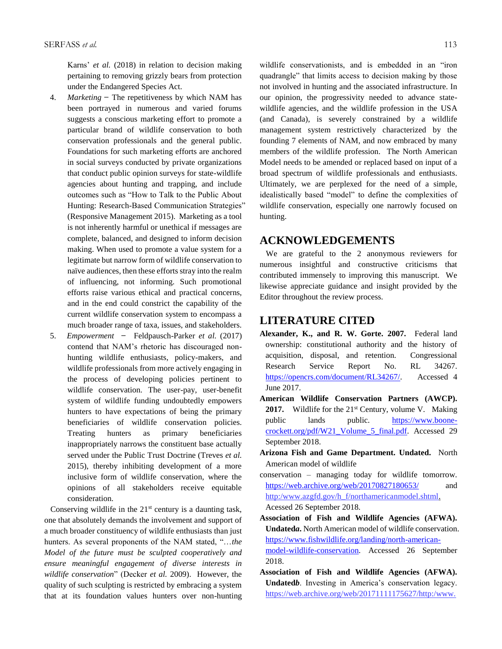Karns' *et al.* (2018) in relation to decision making pertaining to removing grizzly bears from protection under the Endangered Species Act.

- 4. *Marketing* ̶ The repetitiveness by which NAM has been portrayed in numerous and varied forums suggests a conscious marketing effort to promote a particular brand of wildlife conservation to both conservation professionals and the general public. Foundations for such marketing efforts are anchored in social surveys conducted by private organizations that conduct public opinion surveys for state-wildlife agencies about hunting and trapping, and include outcomes such as "How to Talk to the Public About Hunting: Research-Based Communication Strategies" (Responsive Management 2015). Marketing as a tool is not inherently harmful or unethical if messages are complete, balanced, and designed to inform decision making. When used to promote a value system for a legitimate but narrow form of wildlife conservation to naïve audiences, then these efforts stray into the realm of influencing, not informing. Such promotional efforts raise various ethical and practical concerns, and in the end could constrict the capability of the current wildlife conservation system to encompass a much broader range of taxa, issues, and stakeholders.
- 5. *Empowerment ̶* Feldpausch-Parker *et al.* (2017) contend that NAM's rhetoric has discouraged nonhunting wildlife enthusiasts, policy-makers, and wildlife professionals from more actively engaging in the process of developing policies pertinent to wildlife conservation. The user-pay, user-benefit system of wildlife funding undoubtedly empowers hunters to have expectations of being the primary beneficiaries of wildlife conservation policies. Treating hunters as primary beneficiaries inappropriately narrows the constituent base actually served under the Public Trust Doctrine (Treves *et al.* 2015), thereby inhibiting development of a more inclusive form of wildlife conservation, where the opinions of all stakeholders receive equitable consideration.

Conserving wildlife in the  $21<sup>st</sup>$  century is a daunting task, one that absolutely demands the involvement and support of a much broader constituency of wildlife enthusiasts than just hunters. As several proponents of the NAM stated, "…*the Model of the future must be sculpted cooperatively and ensure meaningful engagement of diverse interests in wildlife conservation*" (Decker *et al.* 2009). However, the quality of such sculpting is restricted by embracing a system that at its foundation values hunters over non-hunting

wildlife conservationists, and is embedded in an "iron quadrangle" that limits access to decision making by those not involved in hunting and the associated infrastructure. In our opinion, the progressivity needed to advance statewildlife agencies, and the wildlife profession in the USA (and Canada), is severely constrained by a wildlife management system restrictively characterized by the founding 7 elements of NAM, and now embraced by many members of the wildlife profession. The North American Model needs to be amended or replaced based on input of a broad spectrum of wildlife professionals and enthusiasts. Ultimately, we are perplexed for the need of a simple, idealistically based "model" to define the complexities of wildlife conservation, especially one narrowly focused on hunting.

# **ACKNOWLEDGEMENTS**

 We are grateful to the 2 anonymous reviewers for numerous insightful and constructive criticisms that contributed immensely to improving this manuscript. We likewise appreciate guidance and insight provided by the Editor throughout the review process.

### **LITERATURE CITED**

- **Alexander, K., and R. W. Gorte. 2007.** Federal land ownership: constitutional authority and the history of acquisition, disposal, and retention. Congressional Research Service Report No. RL 34267. [https://opencrs.com/document/RL34267/.](https://opencrs.com/document/RL34267/) Accessed 4 June 2017.
- **American Wildlife Conservation Partners (AWCP).**  2017. Wildlife for the 21<sup>st</sup> Century, volume V. Making public lands public. [https://www.boone](https://www.boone-crockett.org/pdf/W21_Volume_5_final.pdf)[crockett.org/pdf/W21\\_Volume\\_5\\_final.pdf.](https://www.boone-crockett.org/pdf/W21_Volume_5_final.pdf) Accessed 29 September 2018.
- **Arizona Fish and Game Department. Undated.** North American model of wildlife
- conservation managing today for wildlife tomorrow. <https://web.archive.org/web/20170827180653/> and http:/www.azgfd.gov/h\_f/northamericanmodel.shtml. Acessed 26 September 2018.
- **Association of Fish and Wildlife Agencies (AFWA). Undated***a***.** North American model of wildlife conservation. [https://www.fishwildlife.org/landing/north-american](https://www.fishwildlife.org/landing/north-american-model-wildlife-conservation)[model-wildlife-conservation.](https://www.fishwildlife.org/landing/north-american-model-wildlife-conservation) Accessed 26 September 2018.
- **Association of Fish and Wildlife Agencies (AFWA). Undated***b*. Investing in America's conservation legacy. https://web.archive.org/web/20171111175627/http:/www.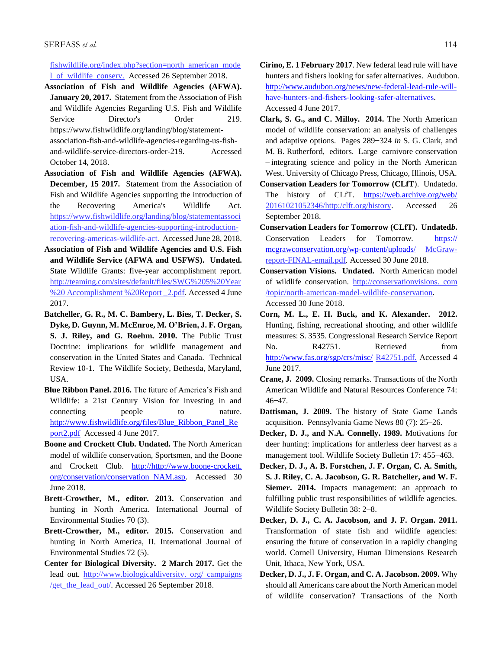fishwildlife.org/index.php?section=north\_american\_mode l\_of\_wildlife\_conserv. Accessed 26 September 2018.

**Association of Fish and Wildlife Agencies (AFWA). January 20, 2017.** Statement from the Association of Fish and Wildlife Agencies Regarding U.S. Fish and Wildlife Service Director's Order 219. https://www.fishwildlife.org/landing/blog/statement-

association-fish-and-wildlife-agencies-regarding-us-fishand-wildlife-service-directors-order-219. Accessed October 14, 2018.

- **Association of Fish and Wildlife Agencies (AFWA). December, 15 2017.** Statement from the Association of Fish and Wildlife Agencies supporting the introduction of the Recovering America's Wildlife Act. https://www.fishwildlife.org/landing/blog/statementassoci ation-fish-and-wildlife-agencies-supporting-introductionrecovering-americas-wildlife-act. Accessed June 28, 2018.
- **Association of Fish and Wildlife Agencies and U.S. Fish and Wildlife Service (AFWA and USFWS). Undated.** State Wildlife Grants: five-year accomplishment report. http://teaming.com/sites/default/files/SWG%205%20Year %20 Accomplishment %20Report \_2.pdf. Accessed 4 June 2017.
- **Batcheller, G. R., M. C. Bambery, L. Bies, T. Decker, S. Dyke, D. Guynn, M. McEnroe, M. O'Brien, J. F. Organ, S. J. Riley, and G. Roehm. 2010.** The Public Trust Doctrine: implications for wildlife management and conservation in the United States and Canada. Technical Review 10-1. The Wildlife Society, Bethesda, Maryland, USA.
- **Blue Ribbon Panel. 2016.** The future of America's Fish and Wildlife: a 21st Century Vision for investing in and connecting people to nature. [http://www.fishwildlife.org/files/Blue\\_Ribbon\\_Panel\\_Re](http://www.fishwildlife.org/files/Blue_Ribbon_Panel_Report2.pdf) [port2.pdf](http://www.fishwildlife.org/files/Blue_Ribbon_Panel_Report2.pdf) Accessed 4 June 2017.
- **Boone and Crockett Club. Undated.** The North American model of wildlife conservation, Sportsmen, and the Boone and Crockett Club. [http://http://www.boone-crockett.](http://http/www.boone-crockett.%20org/conservation/conservation_NAM.asp)  [org/conservation/conservation\\_NAM.asp.](http://http/www.boone-crockett.%20org/conservation/conservation_NAM.asp) Accessed 30 June 2018.
- **Brett-Crowther, M., editor. 2013.** Conservation and hunting in North America. International Journal of Environmental Studies 70 (3).
- **Brett-Crowther, M., editor. 2015.** Conservation and hunting in North America, II. International Journal of Environmental Studies 72 (5).
- **Center for Biological Diversity. 2 March 2017.** Get the lead out. [http://www.biologicaldiversity.](http://www.biologicaldiversity/) org/ campaigns /get\_the\_lead\_out/. Accessed 26 September 2018.
- **Cirino, E. 1 February 2017**. New federal lead rule will have hunters and fishers looking for safer alternatives. Audubon. [http://www.audubon.org/news/new-federal-lead-rule-will](http://www.audubon.org/news/new-federal-lead-rule-will-have-hunters-and-fishers-looking-safer-alternatives)[have-hunters-and-fishers-looking-safer-alternatives.](http://www.audubon.org/news/new-federal-lead-rule-will-have-hunters-and-fishers-looking-safer-alternatives)  Accessed 4 June 2017.
- **Clark, S. G., and C. Milloy. 2014.** The North American model of wildlife conservation: an analysis of challenges and adaptive options. Pages 289–324 *in* S. G. Clark, and M. B. Rutherford, editors. Large carnivore conservation  $-$ integrating science and policy in the North American West. University of Chicago Press, Chicago, Illinois, USA.
- **Conservation Leaders for Tomorrow (CLfT**). Undated*a*. The history of CLfT. <https://web.archive.org/web/> 20161021052346/http:/clft.org/history. Accessed 26 September 2018.
- **Conservation Leaders for Tomorrow (CLfT). Undated***b***.** Conservation Leaders for Tomorrow. https:// mcgrawconservation.org/wp-content/uploads/ McGrawreport-FINAL-email.pdf. Accessed 30 June 2018.
- **Conservation Visions. Undated.** North American model of wildlife conservation. http://conservationvisions. com /topic/north-american-model-wildlife-conservation. Accessed 30 June 2018.
- **Corn, M. L., E. H. Buck, and K. Alexander. 2012.** Hunting, fishing, recreational shooting, and other wildlife measures: S. 3535. Congressional Research Service Report No. R42751. Retrieved from <http://www.fas.org/sgp/crs/misc/> R42751.pdf. Accessed 4 June 2017.
- **Crane, J. 2009.** Closing remarks. Transactions of the North American Wildlife and Natural Resources Conference 74:  $46 - 47.$
- **Dattisman, J. 2009.** The history of State Game Lands acquisition. Pennsylvania Game News 80 (7): 25-26.
- **Decker, D. J., and N.A. Connelly. 1989.** Motivations for deer hunting: implications for antlerless deer harvest as a management tool. Wildlife Society Bulletin 17: 455-463.
- **Decker, D. J., A. B. Forstchen, J. F. Organ, C. A. Smith, S. J. Riley, C. A. Jacobson, G. R. Batcheller, and W. F. Siemer. 2014.** Impacts management: an approach to fulfilling public trust responsibilities of wildlife agencies. Wildlife Society Bulletin 38: 2-8.
- **Decker, D. J., C. A. Jacobson, and J. F. Organ. 2011.** Transformation of state fish and wildlife agencies: ensuring the future of conservation in a rapidly changing world. Cornell University, Human Dimensions Research Unit, Ithaca, New York, USA.
- **Decker, D. J., J. F. Organ, and C. A. Jacobson. 2009.** Why should all Americans care about the North American model of wildlife conservation? Transactions of the North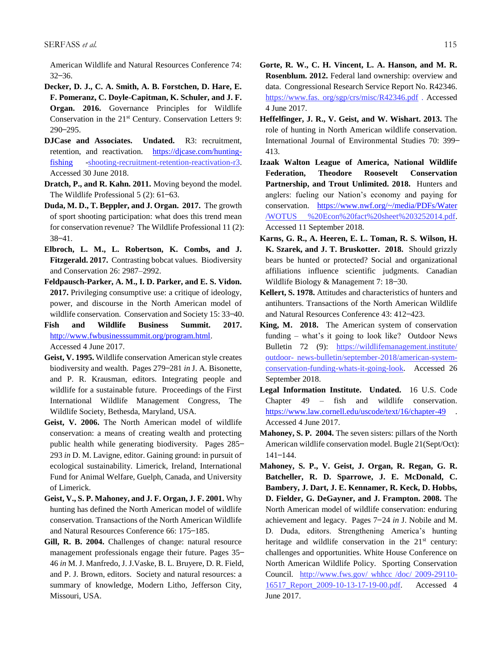American Wildlife and Natural Resources Conference 74:  $32 - 36.$ 

- **Decker, D. J., C. A. Smith, A. B. Forstchen, D. Hare, E. F. Pomeranz, C. Doyle-Capitman, K. Schuler, and J. F. Organ. 2016.** Governance Principles for Wildlife Conservation in the 21<sup>st</sup> Century. Conservation Letters 9:  $290 - 295.$
- **DJCase and Associates. Undated.** R3: recruitment, retention, and reactivation. [https://djcase.com/hunting](https://djcase.com/hunting-fishing)[fishing](https://djcase.com/hunting-fishing) -shooting-recruitment-retention-reactivation-r3. Accessed 30 June 2018.
- **Dratch, P., and R. Kahn. 2011.** Moving beyond the model. The Wildlife Professional 5 (2): 61–63.
- **Duda, M. D., T. Beppler, and J. Organ. 2017.** The growth of sport shooting participation: what does this trend mean for conservation revenue? The Wildlife Professional 11 (2):  $38 - 41.$
- **Elbroch, L. M., L. Robertson, K. Combs, and J. Fitzgerald. 2017.** Contrasting bobcat values. Biodiversity and Conservation 26: 2987–2992.
- **Feldpausch-Parker, A. M., I. D. Parker, and E. S. Vidon. 2017.** Privileging consumptive use: a critique of ideology, power, and discourse in the North American model of wildlife conservation. Conservation and Society 15: 33-40.
- **Fish and Wildlife Business Summit. 2017.** [http://www.fwbusinesssummit.org/program.html.](http://www.fwbusinesssummit.org/program.html) Accessed 4 June 2017.
- **Geist, V. 1995.** Wildlife conservation American style creates biodiversity and wealth. Pages 279 ̶281 *in* J. A. Bisonette, and P. R. Krausman, editors. Integrating people and wildlife for a sustainable future. Proceedings of the First International Wildlife Management Congress, The Wildlife Society, Bethesda, Maryland, USA.
- **Geist, V. 2006.** The North American model of wildlife conservation: a means of creating wealth and protecting public health while generating biodiversity. Pages 285-293 *in* D. M. Lavigne, editor. Gaining ground: in pursuit of ecological sustainability. Limerick, Ireland, International Fund for Animal Welfare, Guelph, Canada, and University of Limerick.
- **Geist, V., S. P. Mahoney, and J. F. Organ, J. F. 2001.** Why hunting has defined the North American model of wildlife conservation. Transactions of the North American Wildlife and Natural Resources Conference 66: 175-185.
- **Gill, R. B. 2004.** Challenges of change: natural resource management professionals engage their future. Pages 35– 46 *in* M. J. Manfredo, J. J.Vaske, B. L. Bruyere, D. R. Field, and P. J. Brown, editors. Society and natural resources: a summary of knowledge, Modern Litho, Jefferson City, Missouri, USA.
- **Gorte, R. W., C. H. Vincent, L. A. Hanson, and M. R. Rosenblum. 2012.** Federal land ownership: overview and data. Congressional Research Service Report No. R42346. https://www.fas. org/sgp/crs/misc/R42346.pdf . Accessed 4 June 2017.
- **Heffelfinger, J. R., V. Geist, and W. Wishart. 2013.** The role of hunting in North American wildlife conservation. International Journal of Environmental Studies 70: 399-413.
- **Izaak Walton League of America, National Wildlife Federation, Theodore Roosevelt Conservation Partnership, and Trout Unlimited. 2018.** Hunters and anglers: fueling our Nation's economy and paying for conservation. <https://www.nwf.org/~/media/PDFs/Water> /WOTUS %20Econ%20fact%20sheet%203252014.pdf. Accessed 11 September 2018.
- **Karns, G. R., A. Heeren, E. L. Toman, R. S. Wilson, H. K. Szarek, and J. T. Bruskotter. 2018.** Should grizzly bears be hunted or protected? Social and organizational affiliations influence scientific judgments. Canadian Wildlife Biology & Management 7: 18–30.
- **Kellert, S. 1978.** Attitudes and characteristics of hunters and antihunters. Transactions of the North American Wildlife and Natural Resources Conference 43: 412-423.
- **King, M. 2018.** The American system of conservation funding – what's it going to look like? Outdoor News Bulletin 72 (9): https://wildlifemanagement.institute/ outdoor- news-bulletin/september-2018/american-systemconservation-funding-whats-it-going-look. Accessed 26 September 2018.
- **Legal Information Institute. Undated.** 16 U.S. Code Chapter 49 – fish and wildlife conservation. <https://www.law.cornell.edu/uscode/text/16/chapter-49> . Accessed 4 June 2017.
- **Mahoney, S. P. 2004.** The seven sisters: pillars of the North American wildlife conservation model. Bugle 21(Sept/Oct):  $141 - 144.$
- **Mahoney, S. P., V. Geist, J. Organ, R. Regan, G. R. Batcheller, R. D. Sparrowe, J. E. McDonald, C. Bambery, J. Dart, J. E. Kennamer, R. Keck, D. Hobbs, D. Fielder, G. DeGayner, and J. Frampton. 2008.** The North American model of wildlife conservation: enduring achievement and legacy. Pages 7 ̶24 *in* J. Nobile and M. D. Duda, editors. Strengthening America's hunting heritage and wildlife conservation in the 21<sup>st</sup> century: challenges and opportunities. White House Conference on North American Wildlife Policy. Sporting Conservation Council. http://www.fws.gov/ whhcc /doc/ 2009-29110- 16517 Report 2009-10-13-17-19-00.pdf. Accessed 4 June 2017.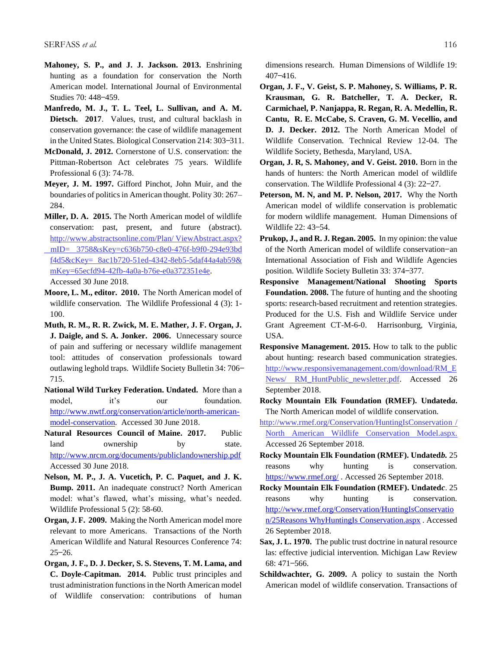- **Mahoney, S. P., and J. J. Jackson. 2013.** Enshrining hunting as a foundation for conservation the North American model. International Journal of Environmental Studies 70: 448-459.
- **Manfredo, M. J., T. L. Teel, L. Sullivan, and A. M. Dietsch. 2017**. Values, trust, and cultural backlash in conservation governance: the case of wildlife management in the United States. Biological Conservation 214: 303-311.
- **McDonald, J. 2012.** Cornerstone of U.S. conservation: the Pittman-Robertson Act celebrates 75 years. Wildlife Professional 6 (3): 74-78.
- **Meyer, J. M. 1997.** Gifford Pinchot, John Muir, and the boundaries of politics in American thought. Polity 30: 267– 284.
- **Miller, D. A. 2015.** The North American model of wildlife conservation: past, present, and future (abstract). http://www.abstractsonline.com/Plan/ ViewAbstract.aspx? mID= 3758&sKey=c636b750-c8e0-476f-b9f0-294e93bd f4d5&cKey= 8ac1b720-51ed-4342-8eb5-5daf44a4ab59& mKey=65ecfd94-42fb-4a0a-b76e-e0a372351e4e. Accessed 30 June 2018.
- **Moore, L. M., editor. 2010.** The North American model of wildlife conservation. The Wildlife Professional 4 (3): 1- 100.
- **Muth, R. M., R. R. Zwick, M. E. Mather, J. F. Organ, J. J. Daigle, and S. A. Jonker. 2006.** Unnecessary source of pain and suffering or necessary wildlife management tool: attitudes of conservation professionals toward outlawing leghold traps. Wildlife Society Bulletin 34: 706-715.
- **National Wild Turkey Federation. Undated.** More than a model, it's our foundation. [http://www.nwtf.org/conservation/article/north-american](http://www.nwtf.org/conservation/article/north-american-model-conservation)[model-conservation.](http://www.nwtf.org/conservation/article/north-american-model-conservation) Accessed 30 June 2018.
- **Natural Resources Council of Maine. 2017.** Public land ownership by state. <http://www.nrcm.org/documents/publiclandownership.pdf> Accessed 30 June 2018.
- **Nelson, M. P., J. A. Vucetich, P. C. Paquet, and J. K. Bump. 2011.** An inadequate construct? North American model: what's flawed, what's missing, what's needed. Wildlife Professional 5 (2): 58-60.
- **Organ, J. F. 2009.** Making the North American model more relevant to more Americans. Transactions of the North American Wildlife and Natural Resources Conference 74:  $25 - 26.$
- **Organ, J. F., D. J. Decker, S. S. Stevens, T. M. Lama, and C. Doyle-Capitman. 2014.** Public trust principles and trust administration functions in the North American model of Wildlife conservation: contributions of human

dimensions research. Human Dimensions of Wildlife 19:  $407 - 416$ .

- **Organ, J. F., V. Geist, S. P. Mahoney, S. Williams, P. R. Krausman, G. R. Batcheller, T. A. Decker, R. Carmichael, P. Nanjappa, R. Regan, R. A. Medellin, R. Cantu, R. E. McCabe, S. Craven, G. M. Vecellio, and D. J. Decker. 2012.** The North American Model of Wildlife Conservation. Technical Review 12-04. The Wildlife Society, Bethesda, Maryland, USA.
- **Organ, J. R, S. Mahoney, and V. Geist. 2010.** Born in the hands of hunters: the North American model of wildlife conservation. The Wildlife Professional 4 (3): 22–27.
- **Peterson, M. N, and M. P. Nelson, 2017.** Why the North American model of wildlife conservation is problematic for modern wildlife management. Human Dimensions of Wildlife 22: 43-54.
- **Prukop, J., and R. J. Regan. 2005.** In my opinion: the value of the North American model of wildlife conservation-an International Association of Fish and Wildlife Agencies position. Wildlife Society Bulletin 33: 374-377.
- **Responsive Management/National Shooting Sports Foundation. 2008.** The future of hunting and the shooting sports: research-based recruitment and retention strategies. Produced for the U.S. Fish and Wildlife Service under Grant Agreement CT-M-6-0. Harrisonburg, Virginia, USA.
- **Responsive Management. 2015.** How to talk to the public about hunting: research based communication strategies. http://www.responsivemanagement.com/download/RM\_E News/ RM HuntPublic newsletter.pdf. Accessed 26 September 2018.
- **Rocky Mountain Elk Foundation (RMEF). Undated***a***.** The North American model of wildlife conservation.
- <http://www.rmef.org/Conservation/HuntingIsConservation> / North American Wildlife Conservation Model.aspx. Accessed 26 September 2018.
- **Rocky Mountain Elk Foundation (RMEF). Undated***b.* 25 reasons why hunting is conservation. <https://www.rmef.org/> . Accessed 26 September 2018.
- **Rocky Mountain Elk Foundation (RMEF). Undated***c*. 25 reasons why hunting is conservation. [http://www.rmef.org/Conservation/HuntingIsConservatio](http://www.rmef.org/Conservation/HuntingIsConservation/25Reasons%20WhyHuntingIs%20Conservation.aspx) [n/25Reasons WhyHuntingIs Conservation.aspx](http://www.rmef.org/Conservation/HuntingIsConservation/25Reasons%20WhyHuntingIs%20Conservation.aspx) . Accessed 26 September 2018.
- **Sax, J. L. 1970.** The public trust doctrine in natural resource las: effective judicial intervention. Michigan Law Review 68: 471-566.
- **Schildwachter, G. 2009.** A policy to sustain the North American model of wildlife conservation. Transactions of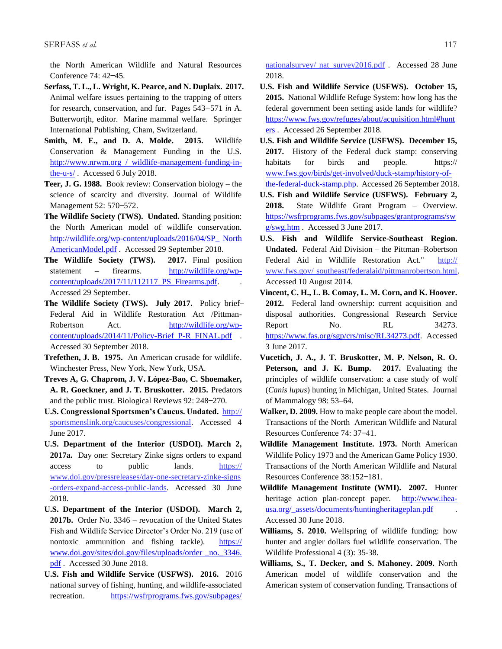the North American Wildlife and Natural Resources Conference 74: 42-45.

- **Serfass, T. L., L. Wright, K. Pearce, and N. Duplaix. 2017.**  Animal welfare issues pertaining to the trapping of otters for research, conservation, and fur. Pages 543 ̶571 *in* A. Butterwortjh, editor. Marine mammal welfare. Springer International Publishing, Cham, Switzerland.
- **Smith, M. E., and D. A. Molde. 2015.** Wildlife Conservation & Management Funding in the U.S. http://www.nrwm.org / wildlife-management-funding-inthe-u-s/ . Accessed 6 July 2018.
- **Teer, J. G. 1988.** Book review: Conservation biology the science of scarcity and diversity. Journal of Wildlife Management 52: 570–572.
- **The Wildlife Society (TWS). Undated.** Standing position: the North American model of wildlife conservation. [http://wildlife.org/wp-content/uploads/2016/04/SP\\_ North](http://wildlife.org/wp-content/uploads/2016/04/SP_%20North%20AmericanModel.pdf)  [AmericanModel.pdf](http://wildlife.org/wp-content/uploads/2016/04/SP_%20North%20AmericanModel.pdf) . Accessed 29 September 2018.
- **The Wildlife Society (TWS). 2017.** Final position statement – firearms. [http://wildlife.org/wp](http://wildlife.org/wp-content/uploads/2017/11/112117_PS_Firearms.pdf)[content/uploads/2017/11/112117\\_PS\\_Firearms.pdf.](http://wildlife.org/wp-content/uploads/2017/11/112117_PS_Firearms.pdf) . Accessed 29 September.
- The Wildlife Society (TWS). July 2017. Policy brief-Federal Aid in Wildlife Restoration Act /PittmanRobertson Act. [http://wildlife.org/wp](http://wildlife.org/wp-content/uploads/2014/11/Policy-Brief_P-R_FINAL.pdf)[content/uploads/2014/11/Policy-Brief\\_P-R\\_FINAL.pdf](http://wildlife.org/wp-content/uploads/2014/11/Policy-Brief_P-R_FINAL.pdf) . Accessed 30 September 2018.
- **Trefethen, J. B. 1975.** An American crusade for wildlife. Winchester Press, New York, New York, USA.
- **Treves A, G. Chaprom, J. V. López-Bao, C. Shoemaker, A. R. Goeckner, and J. T. Bruskotter. 2015.** Predators and the public trust. Biological Reviews 92: 248-270.
- **U.S. Congressional Sportsmen's Caucus. Undated.** http:// sportsmenslink.org/caucuses/congressional. Accessed 4 June 2017.
- **U.S. Department of the Interior (USDOI). March 2, 2017a.** Day one: Secretary Zinke signs orders to expand access to public lands. https:// www.doi.gov/pressreleases/day-one-secretary-zinke-signs -orders-expand-access-public-lands. Accessed 30 June 2018.
- **U.S. Department of the Interior (USDOI). March 2, 2017b.** Order No. 3346 – revocation of the United States Fish and Wildlife Service Director's Order No. 219 (use of nontoxic ammunition and fishing tackle). https:// www.doi.gov/sites/doi.gov/files/uploads/order \_no.\_3346. pdf . Accessed 30 June 2018.
- **U.S. Fish and Wildlife Service (USFWS). 2016.** 2016 national survey of fishing, hunting, and wildlife-associated recreation. <https://wsfrprograms.fws.gov/subpages/>

nationalsurvey/ nat\_survey2016.pdf . Accessed 28 June 2018.

- **U.S. Fish and Wildlife Service (USFWS). October 15, 2015.** National Wildlife Refuge System: how long has the federal government been setting aside lands for wildlife? [https://www.fws.gov/refuges/about/acquisition.html#hunt](https://www.fws.gov/refuges/about/acquisition.html#hunters) [ers](https://www.fws.gov/refuges/about/acquisition.html#hunters) . Accessed 26 September 2018.
- **U.S. Fish and Wildlife Service (USFWS). December 15, 2017.** History of the Federal duck stamp: conserving habitats for birds and people. https:// [www.fws.gov/birds/get-involved/duck-stamp/history-of](http://www.fws.gov/birds/get-involved/duck-stamp/history-of-the-federal-duck-stamp.php)[the-federal-duck-stamp.php.](http://www.fws.gov/birds/get-involved/duck-stamp/history-of-the-federal-duck-stamp.php) Accessed 26 September 2018.
- **U.S. Fish and Wildlife Service (USFWS). February 2, 2018.** State Wildlife Grant Program – Overview. [https://wsfrprograms.fws.gov/subpages/grantprograms/sw](https://wsfrprograms.fws.gov/subpages/grantprograms/swg/swg.htm) [g/swg.htm](https://wsfrprograms.fws.gov/subpages/grantprograms/swg/swg.htm) . Accessed 3 June 2017.
- **U.S. Fish and Wildlife Service-Southeast Region. Undated.** Federal Aid Division – the Pittman–Robertson Federal Aid in Wildlife Restoration Act." http:// www.fws.gov/ southeast/federalaid/pittmanrobertson.html. Accessed 10 August 2014.
- **Vincent, C. H., L. B. Comay, L. M. Corn, and K. Hoover. 2012.** Federal land ownership: current acquisition and disposal authorities. Congressional Research Service Report No. RL 34273. [https://www.fas.org/sgp/crs/misc/RL34273.pdf.](https://www.fas.org/sgp/crs/misc/RL34273.pdf) Accessed 3 June 2017.
- **Vucetich, J. A., J. T. Bruskotter, M. P. Nelson, R. O. Peterson, and J. K. Bump. 2017.** Evaluating the principles of wildlife conservation: a case study of wolf (*Canis lupus*) hunting in Michigan, United States. Journal of Mammalogy 98: 53–64.
- **Walker, D. 2009.** How to make people care about the model. Transactions of the North American Wildlife and Natural Resources Conference 74: 37-41.
- **Wildlife Management Institute. 1973.** North American Wildlife Policy 1973 and the American Game Policy 1930. Transactions of the North American Wildlife and Natural Resources Conference 38:152-181.
- **Wildlife Management Institute (WMI). 2007.** Hunter heritage action plan-concept paper. [http://www.ihea](http://www.ihea-usa.org/_assets/documents/huntingheritageplan.pdf)usa.org/ assets/documents/huntingheritageplan.pdf Accessed 30 June 2018.
- **Williams, S. 2010.** Wellspring of wildlife funding: how hunter and angler dollars fuel wildlife conservation. The Wildlife Professional 4 (3): 35-38.
- **Williams, S., T. Decker, and S. Mahoney. 2009.** North American model of wildlife conservation and the American system of conservation funding. Transactions of